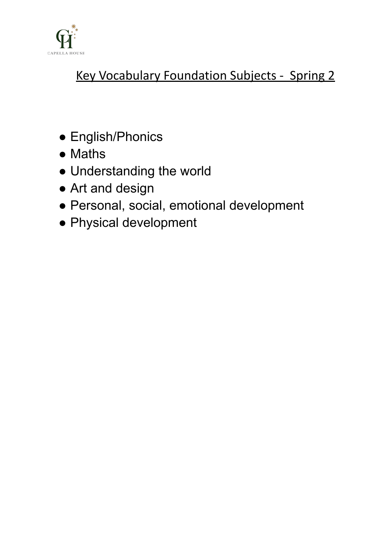

# Key Vocabulary Foundation Subjects - Spring 2

- English/Phonics
- Maths
- Understanding the world
- Art and design
- Personal, social, emotional development
- Physical development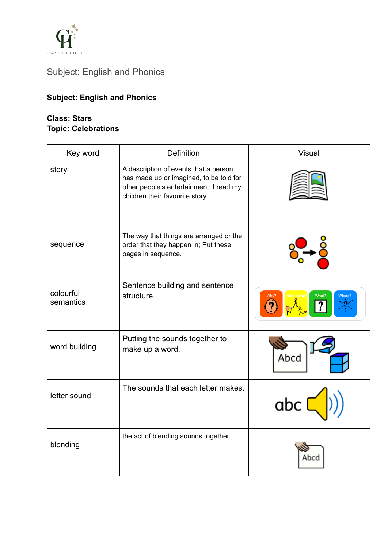

# Subject: English and Phonics

# **Subject: English and Phonics**

#### **Class: Stars Topic: Celebrations**

| Key word               | <b>Definition</b>                                                                                                                                              | <b>Visual</b> |
|------------------------|----------------------------------------------------------------------------------------------------------------------------------------------------------------|---------------|
| story                  | A description of events that a person<br>has made up or imagined, to be told for<br>other people's entertainment; I read my<br>children their favourite story. |               |
| sequence               | The way that things are arranged or the<br>order that they happen in; Put these<br>pages in sequence.                                                          |               |
| colourful<br>semantics | Sentence building and sentence<br>structure.                                                                                                                   | Who?<br>What? |
| word building          | Putting the sounds together to<br>make up a word.                                                                                                              | Abcd          |
| letter sound           | The sounds that each letter makes.                                                                                                                             | abc           |
| blending               | the act of blending sounds together.                                                                                                                           | Abcc          |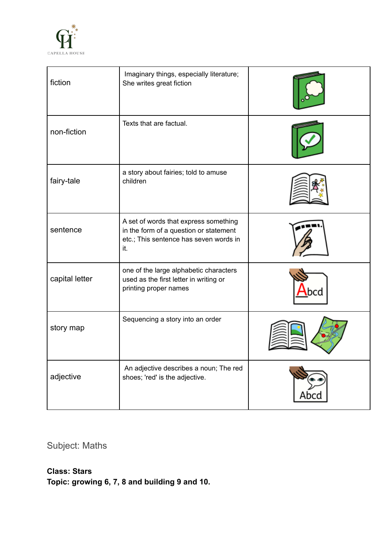

| fiction        | Imaginary things, especially literature;<br>She writes great fiction                                                             |  |
|----------------|----------------------------------------------------------------------------------------------------------------------------------|--|
| non-fiction    | Texts that are factual.                                                                                                          |  |
| fairy-tale     | a story about fairies; told to amuse<br>children                                                                                 |  |
| sentence       | A set of words that express something<br>in the form of a question or statement<br>etc.; This sentence has seven words in<br>it. |  |
| capital letter | one of the large alphabetic characters<br>used as the first letter in writing or<br>printing proper names                        |  |
| story map      | Sequencing a story into an order                                                                                                 |  |
| adjective      | An adjective describes a noun; The red<br>shoes; 'red' is the adjective.                                                         |  |

Subject: Maths

## **Class: Stars**

**Topic: growing 6, 7, 8 and building 9 and 10.**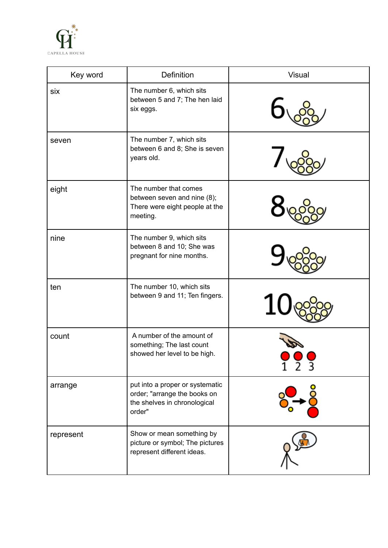

| Key word  | Definition                                                                                                | <b>Visual</b> |
|-----------|-----------------------------------------------------------------------------------------------------------|---------------|
| six       | The number 6, which sits<br>between 5 and 7; The hen laid<br>six eggs.                                    |               |
| seven     | The number 7, which sits<br>between 6 and 8; She is seven<br>years old.                                   |               |
| eight     | The number that comes<br>between seven and nine (8);<br>There were eight people at the<br>meeting.        |               |
| nine      | The number 9, which sits<br>between 8 and 10; She was<br>pregnant for nine months.                        |               |
| ten       | The number 10, which sits<br>between 9 and 11; Ten fingers.                                               |               |
| count     | A number of the amount of<br>something; The last count<br>showed her level to be high.                    |               |
| arrange   | put into a proper or systematic<br>order; "arrange the books on<br>the shelves in chronological<br>order" |               |
| represent | Show or mean something by<br>picture or symbol; The pictures<br>represent different ideas.                |               |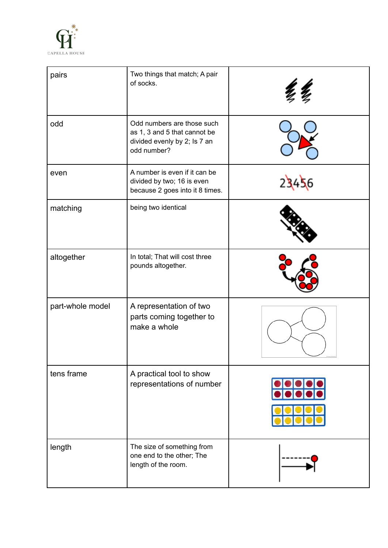

| pairs            | Two things that match; A pair<br>of socks.                                                                |  |
|------------------|-----------------------------------------------------------------------------------------------------------|--|
| odd              | Odd numbers are those such<br>as 1, 3 and 5 that cannot be<br>divided evenly by 2; Is 7 an<br>odd number? |  |
| even             | A number is even if it can be<br>divided by two; 16 is even<br>because 2 goes into it 8 times.            |  |
| matching         | being two identical                                                                                       |  |
| altogether       | In total; That will cost three<br>pounds altogether.                                                      |  |
| part-whole model | A representation of two<br>parts coming together to<br>make a whole                                       |  |
| tens frame       | A practical tool to show<br>representations of number                                                     |  |
| length           | The size of something from<br>one end to the other; The<br>length of the room.                            |  |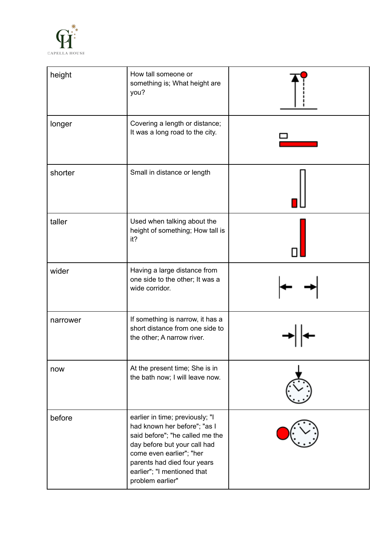

| height   | How tall someone or<br>something is; What height are<br>you?                                                                                                                                                                                     |  |
|----------|--------------------------------------------------------------------------------------------------------------------------------------------------------------------------------------------------------------------------------------------------|--|
| longer   | Covering a length or distance;<br>It was a long road to the city.                                                                                                                                                                                |  |
| shorter  | Small in distance or length                                                                                                                                                                                                                      |  |
| taller   | Used when talking about the<br>height of something; How tall is<br>it?                                                                                                                                                                           |  |
| wider    | Having a large distance from<br>one side to the other; It was a<br>wide corridor.                                                                                                                                                                |  |
| narrower | If something is narrow, it has a<br>short distance from one side to<br>the other; A narrow river.                                                                                                                                                |  |
| now      | At the present time; She is in<br>the bath now; I will leave now.                                                                                                                                                                                |  |
| before   | earlier in time; previously; "I<br>had known her before"; "as I<br>said before"; "he called me the<br>day before but your call had<br>come even earlier"; "her<br>parents had died four years<br>earlier"; "I mentioned that<br>problem earlier" |  |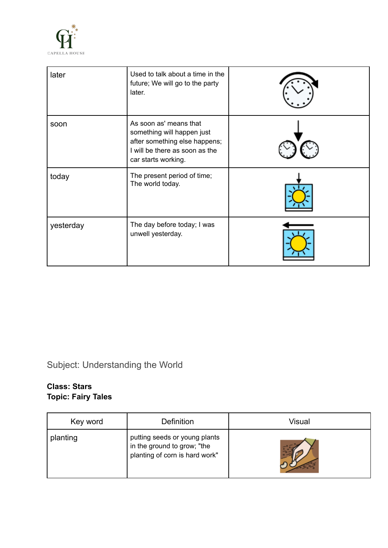

| later     | Used to talk about a time in the<br>future; We will go to the party<br>later.                                                                  |  |
|-----------|------------------------------------------------------------------------------------------------------------------------------------------------|--|
| soon      | As soon as' means that<br>something will happen just<br>after something else happens;<br>I will be there as soon as the<br>car starts working. |  |
| today     | The present period of time;<br>The world today.                                                                                                |  |
| yesterday | The day before today; I was<br>unwell yesterday.                                                                                               |  |

# Subject: Understanding the World

## **Class: Stars Topic: Fairy Tales**

| Key word | Definition                                                                                     | Visual |
|----------|------------------------------------------------------------------------------------------------|--------|
| planting | putting seeds or young plants<br>in the ground to grow; "the<br>planting of corn is hard work" |        |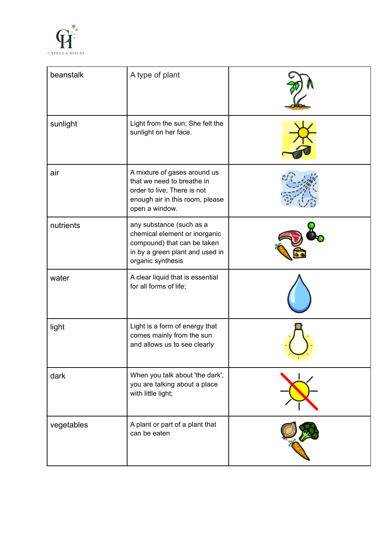

| beanstalk  | A type of plant                                                                                                                                  |  |
|------------|--------------------------------------------------------------------------------------------------------------------------------------------------|--|
| sunlight   | Light from the sun; She felt the<br>sunlight on her face.                                                                                        |  |
| air        | A mixture of gases around us<br>that we need to breathe in<br>order to live; There is not<br>enough air in this room, please<br>open a window.   |  |
| nutrients  | any substance (such as a<br>chemical element or inorganic<br>compound) that can be taken<br>in by a green plant and used in<br>organic synthesis |  |
| water      | A clear liquid that is essential<br>for all forms of life;                                                                                       |  |
| light      | Light is a form of energy that<br>comes mainly from the sun<br>and allows us to see clearly                                                      |  |
| dark       | When you talk about 'the dark',<br>you are talking about a place<br>with little light;                                                           |  |
| vegetables | A plant or part of a plant that<br>can be eaten                                                                                                  |  |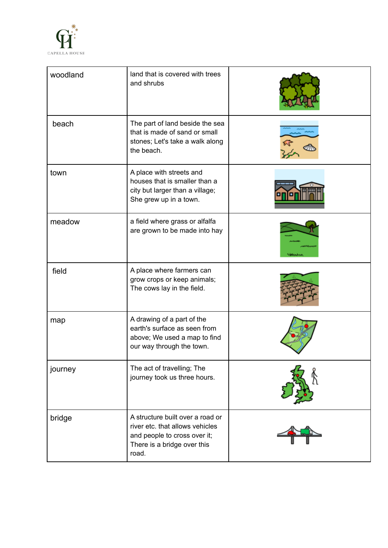

| woodland | land that is covered with trees<br>and shrubs                                                                                               |  |
|----------|---------------------------------------------------------------------------------------------------------------------------------------------|--|
| beach    | The part of land beside the sea<br>that is made of sand or small<br>stones; Let's take a walk along<br>the beach.                           |  |
| town     | A place with streets and<br>houses that is smaller than a<br>city but larger than a village;<br>She grew up in a town.                      |  |
| meadow   | a field where grass or alfalfa<br>are grown to be made into hay                                                                             |  |
| field    | A place where farmers can<br>grow crops or keep animals;<br>The cows lay in the field.                                                      |  |
| map      | A drawing of a part of the<br>earth's surface as seen from<br>above; We used a map to find<br>our way through the town.                     |  |
| journey  | The act of travelling; The<br>journey took us three hours.                                                                                  |  |
| bridge   | A structure built over a road or<br>river etc. that allows vehicles<br>and people to cross over it;<br>There is a bridge over this<br>road. |  |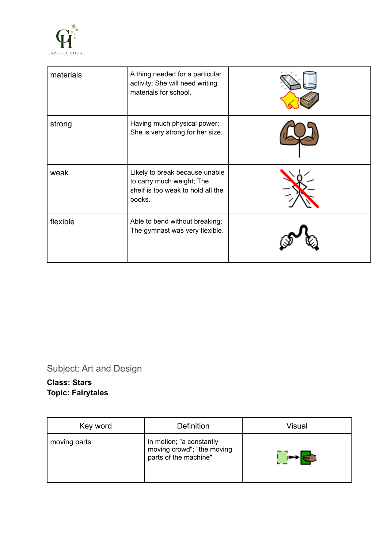

| materials | A thing needed for a particular<br>activity; She will need writing<br>materials for school.                |  |
|-----------|------------------------------------------------------------------------------------------------------------|--|
| strong    | Having much physical power;<br>She is very strong for her size.                                            |  |
| weak      | Likely to break because unable<br>to carry much weight; The<br>shelf is too weak to hold all the<br>books. |  |
| flexible  | Able to bend without breaking;<br>The gymnast was very flexible.                                           |  |

Subject: Art and Design

## **Class: Stars Topic: Fairytales**

| Key word     | Definition                                                                      | Visual |
|--------------|---------------------------------------------------------------------------------|--------|
| moving parts | in motion; "a constantly<br>moving crowd"; "the moving<br>parts of the machine" |        |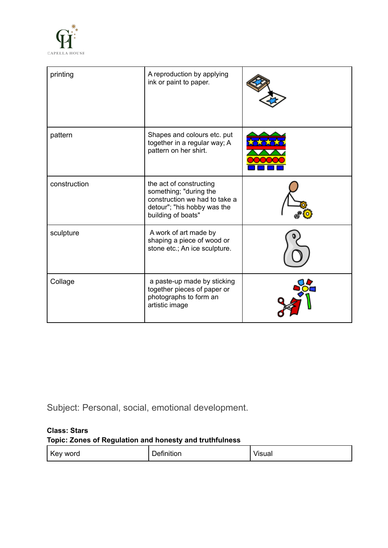

| printing     | A reproduction by applying<br>ink or paint to paper.                                                                                    |  |
|--------------|-----------------------------------------------------------------------------------------------------------------------------------------|--|
| pattern      | Shapes and colours etc. put<br>together in a regular way; A<br>pattern on her shirt.                                                    |  |
| construction | the act of constructing<br>something; "during the<br>construction we had to take a<br>detour"; "his hobby was the<br>building of boats" |  |
| sculpture    | A work of art made by<br>shaping a piece of wood or<br>stone etc.; An ice sculpture.                                                    |  |
| Collage      | a paste-up made by sticking<br>together pieces of paper or<br>photographs to form an<br>artistic image                                  |  |

Subject: Personal, social, emotional development.

#### **Class: Stars**

#### **Topic: Zones of Regulation and honesty and truthfulness**

| ' Key<br>word | .<br>$\sim$<br>+ه۱<br>tinition. | <br>הווחו!<br>้านa. |
|---------------|---------------------------------|---------------------|
|---------------|---------------------------------|---------------------|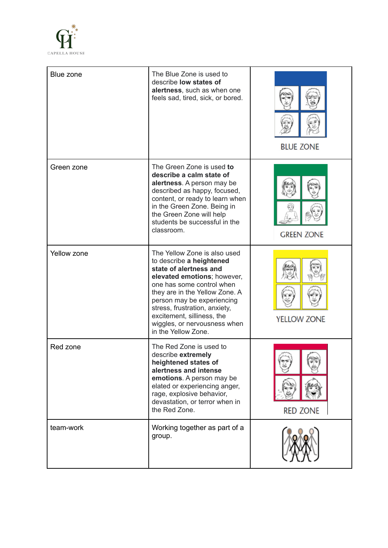

| Blue zone   | The Blue Zone is used to<br>describe low states of<br>alertness, such as when one<br>feels sad, tired, sick, or bored.                                                                                                                                                                                                               | <b>BLUE ZONE</b>   |
|-------------|--------------------------------------------------------------------------------------------------------------------------------------------------------------------------------------------------------------------------------------------------------------------------------------------------------------------------------------|--------------------|
| Green zone  | The Green Zone is used to<br>describe a calm state of<br>alertness. A person may be<br>described as happy, focused,<br>content, or ready to learn when<br>in the Green Zone. Being in<br>the Green Zone will help<br>students be successful in the<br>classroom.                                                                     | <b>GREEN ZONE</b>  |
| Yellow zone | The Yellow Zone is also used<br>to describe a heightened<br>state of alertness and<br>elevated emotions; however,<br>one has some control when<br>they are in the Yellow Zone. A<br>person may be experiencing<br>stress, frustration, anxiety,<br>excitement, silliness, the<br>wiggles, or nervousness when<br>in the Yellow Zone. | <b>YELLOW ZONE</b> |
| Red zone    | The Red Zone is used to<br>describe extremely<br>heightened states of<br>alertness and intense<br>emotions. A person may be<br>elated or experiencing anger,<br>rage, explosive behavior,<br>devastation, or terror when in<br>the Red Zone.                                                                                         | <b>RED ZONE</b>    |
| team-work   | Working together as part of a<br>group.                                                                                                                                                                                                                                                                                              |                    |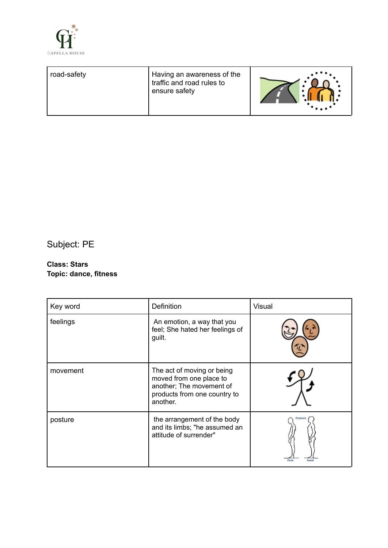

Subject: PE

#### **Class: Stars Topic: dance, fitness**

| Key word | Definition                                                                                                                    | <b>Visual</b>           |
|----------|-------------------------------------------------------------------------------------------------------------------------------|-------------------------|
| feelings | An emotion, a way that you<br>feel; She hated her feelings of<br>guilt.                                                       |                         |
| movement | The act of moving or being<br>moved from one place to<br>another; The movement of<br>products from one country to<br>another. |                         |
| posture  | the arrangement of the body<br>and its limbs; "he assumed an<br>attitude of surrender"                                        | Posture<br>Good<br>Poor |